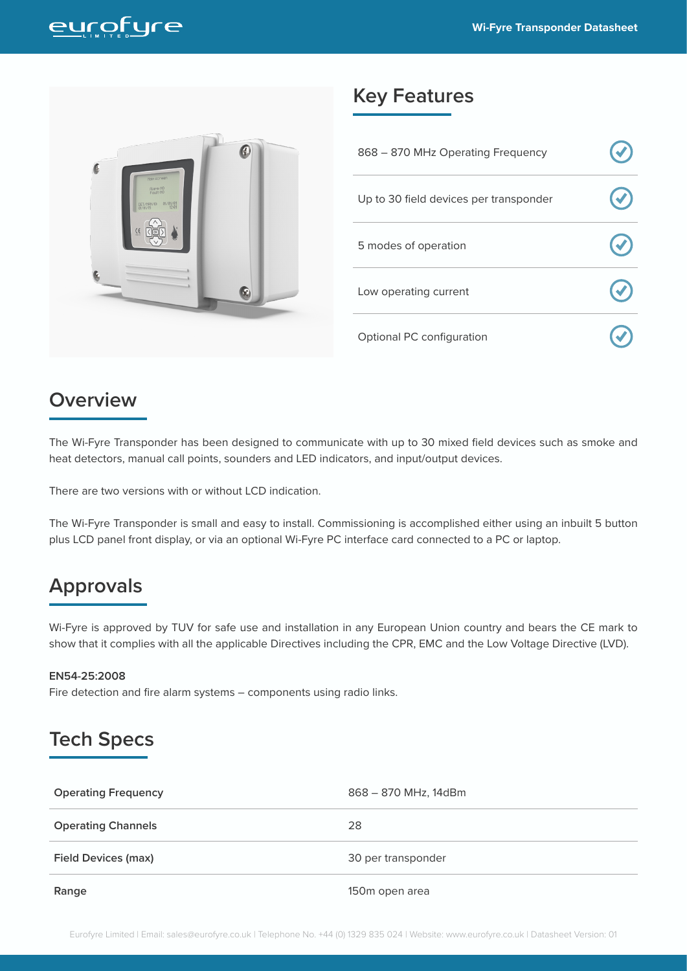



#### **Key Features**

| 868 - 870 MHz Operating Frequency      |  |
|----------------------------------------|--|
| Up to 30 field devices per transponder |  |
| 5 modes of operation                   |  |
| Low operating current                  |  |
| Optional PC configuration              |  |

#### **Overview**

The Wi-Fyre Transponder has been designed to communicate with up to 30 mixed field devices such as smoke and heat detectors, manual call points, sounders and LED indicators, and input/output devices.

There are two versions with or without LCD indication.

The Wi-Fyre Transponder is small and easy to install. Commissioning is accomplished either using an inbuilt 5 button plus LCD panel front display, or via an optional Wi-Fyre PC interface card connected to a PC or laptop.

#### **Approvals**

Wi-Fyre is approved by TUV for safe use and installation in any European Union country and bears the CE mark to show that it complies with all the applicable Directives including the CPR, EMC and the Low Voltage Directive (LVD).

#### **EN54-25:2008**

Fire detection and fire alarm systems – components using radio links.

### **Tech Specs**

| <b>Operating Frequency</b> | 868 - 870 MHz, 14dBm |
|----------------------------|----------------------|
| <b>Operating Channels</b>  | 28                   |
| <b>Field Devices (max)</b> | 30 per transponder   |
| Range                      | 150m open area       |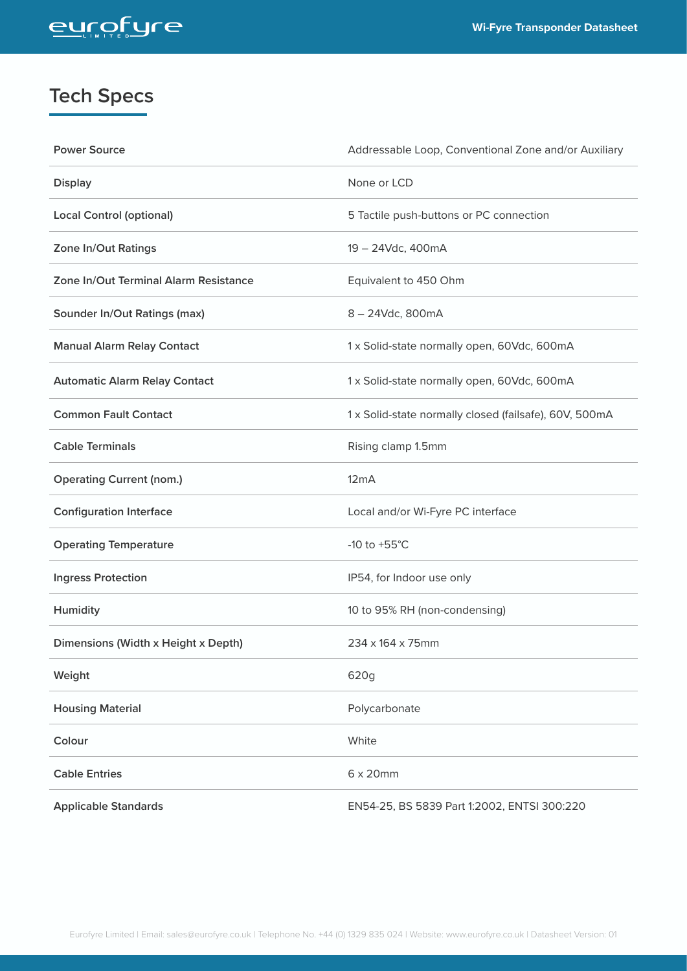# entötne

# **Tech Specs**

| <b>Power Source</b>                   | Addressable Loop, Conventional Zone and/or Auxiliary   |
|---------------------------------------|--------------------------------------------------------|
| <b>Display</b>                        | None or LCD                                            |
| <b>Local Control (optional)</b>       | 5 Tactile push-buttons or PC connection                |
| Zone In/Out Ratings                   | 19 - 24Vdc, 400mA                                      |
| Zone In/Out Terminal Alarm Resistance | Equivalent to 450 Ohm                                  |
| <b>Sounder In/Out Ratings (max)</b>   | 8-24Vdc, 800mA                                         |
| <b>Manual Alarm Relay Contact</b>     | 1 x Solid-state normally open, 60Vdc, 600mA            |
| <b>Automatic Alarm Relay Contact</b>  | 1 x Solid-state normally open, 60Vdc, 600mA            |
| <b>Common Fault Contact</b>           | 1 x Solid-state normally closed (failsafe), 60V, 500mA |
| <b>Cable Terminals</b>                | Rising clamp 1.5mm                                     |
| <b>Operating Current (nom.)</b>       | 12mA                                                   |
| <b>Configuration Interface</b>        | Local and/or Wi-Fyre PC interface                      |
| <b>Operating Temperature</b>          | -10 to $+55^{\circ}$ C                                 |
| <b>Ingress Protection</b>             | IP54, for Indoor use only                              |
| Humidity                              | 10 to 95% RH (non-condensing)                          |
| Dimensions (Width x Height x Depth)   | 234 x 164 x 75mm                                       |
| Weight                                | 620g                                                   |
| <b>Housing Material</b>               | Polycarbonate                                          |
| Colour                                | White                                                  |
| <b>Cable Entries</b>                  | $6 \times 20$ mm                                       |
| <b>Applicable Standards</b>           | EN54-25, BS 5839 Part 1:2002, ENTSI 300:220            |